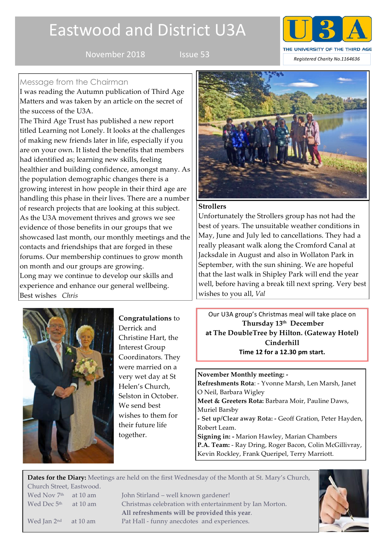# Eastwood and District U3A



# Message from the Chairman

I was reading the Autumn publication of Third Age Matters and was taken by an article on the secret of the success of the U3A.

The Third Age Trust has published a new report titled Learning not Lonely. It looks at the challenges of making new friends later in life, especially if you are on your own. It listed the benefits that members had identified as; learning new skills, feeling healthier and building confidence, amongst many. As the population demographic changes there is a growing interest in how people in their third age are handling this phase in their lives. There are a number of research projects that are looking at this subject. As the U3A movement thrives and grows we see evidence of those benefits in our groups that we showcased last month, our monthly meetings and the contacts and friendships that are forged in these forums. Our membership continues to grow month on month and our groups are growing. Long may we continue to develop our skills and experience and enhance our general wellbeing. Best wishes *Chris*



**Congratulations** to Derrick and Christine Hart, the Interest Group Coordinators. They were married on a very wet day at St Helen's Church, Selston in October. We send best wishes to them for their future life together.



## **Strollers**

Unfortunately the Strollers group has not had the best of years. The unsuitable weather conditions in May, June and July led to cancellations. They had a really pleasant walk along the Cromford Canal at Jacksdale in August and also in Wollaton Park in September, with the sun shining. We are hopeful that the last walk in Shipley Park will end the year well, before having a break till next spring. Very best wishes to you all, *Val* 

Our U3A group's Christmas meal will take place on **Thursday 13th December at The DoubleTree by Hilton. (Gateway Hotel) Cinderhill Time 12 for a 12.30 pm start.** 

**November Monthly meeting: - Refreshments Rota**: - Yvonne Marsh, Len Marsh, Janet O Neil, Barbara Wigley **Meet & Greeters Rota:** Barbara Moir, Pauline Daws, Muriel Barsby **- Set up/Clear away Rota: -** Geoff Gration, Peter Hayden, Robert Leam. **Signing in: -** Marion Hawley, Marian Chambers **P.A. Team:** - Ray Dring, Roger Bacon, Colin McGillivray, Kevin Rockley, Frank Queripel, Terry Marriott.

**Dates for the Diary:** Meetings are held on the first Wednesday of the Month at St. Mary's Church, Church Street, Eastwood. Wed Nov 7<sup>th</sup> at 10 am John Stirland – well known gardener! Wed Dec 5<sup>th</sup> at 10 am Christmas celebration with entertainment by Ian Morton. **All refreshments will be provided this year**. Wed Jan 2<sup>nd</sup> at 10 am Pat Hall - funny anecdotes and experiences.